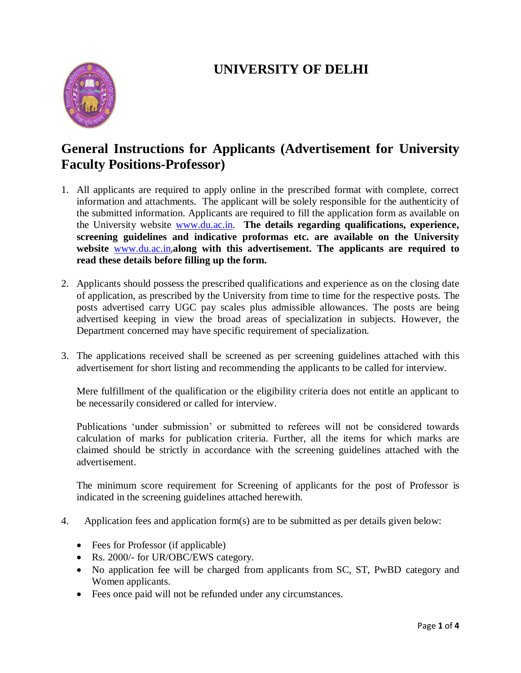## **UNIVERSITY OF DELHI**



## **General Instructions for Applicants (Advertisement for University Faculty Positions-Professor)**

- 1. All applicants are required to apply online in the prescribed format with complete, correct information and attachments. The applicant will be solely responsible for the authenticity of the submitted information. Applicants are required to fill the application form as available on the University website [www.du.ac.in.](http://www.du.ac.in/) **The details regarding qualifications, experience, screening guidelines and indicative proformas etc. are available on the University website** [www.du.ac.in](http://www.du.ac.in/),**along with this advertisement. The applicants are required to read these details before filling up the form.**
- 2. Applicants should possess the prescribed qualifications and experience as on the closing date of application, as prescribed by the University from time to time for the respective posts. The posts advertised carry UGC pay scales plus admissible allowances. The posts are being advertised keeping in view the broad areas of specialization in subjects. However, the Department concerned may have specific requirement of specialization.
- 3. The applications received shall be screened as per screening guidelines attached with this advertisement for short listing and recommending the applicants to be called for interview.

Mere fulfillment of the qualification or the eligibility criteria does not entitle an applicant to be necessarily considered or called for interview.

Publications 'under submission' or submitted to referees will not be considered towards calculation of marks for publication criteria. Further, all the items for which marks are claimed should be strictly in accordance with the screening guidelines attached with the advertisement.

The minimum score requirement for Screening of applicants for the post of Professor is indicated in the screening guidelines attached herewith.

- 4. Application fees and application form(s) are to be submitted as per details given below:
	- Fees for Professor (if applicable)
	- Rs. 2000/- for UR/OBC/EWS category.
	- No application fee will be charged from applicants from SC, ST, PwBD category and Women applicants.
	- Fees once paid will not be refunded under any circumstances.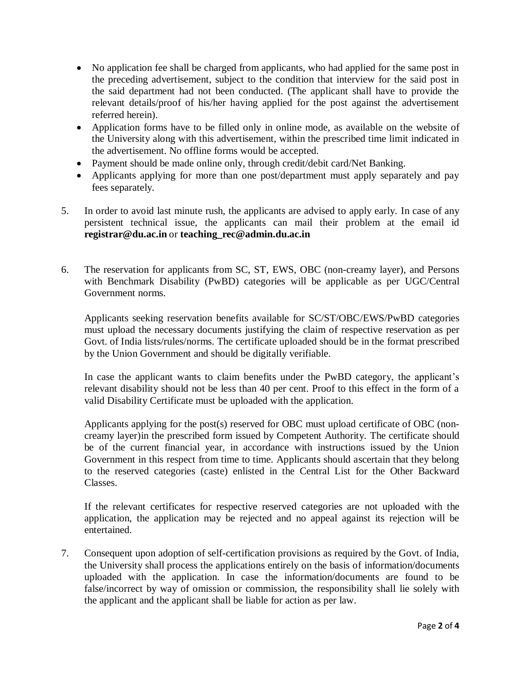- No application fee shall be charged from applicants, who had applied for the same post in the preceding advertisement, subject to the condition that interview for the said post in the said department had not been conducted. (The applicant shall have to provide the relevant details/proof of his/her having applied for the post against the advertisement referred herein).
- Application forms have to be filled only in online mode, as available on the website of the University along with this advertisement, within the prescribed time limit indicated in the advertisement. No offline forms would be accepted.
- Payment should be made online only, through credit/debit card/Net Banking.
- Applicants applying for more than one post/department must apply separately and pay fees separately.
- 5. In order to avoid last minute rush, the applicants are advised to apply early. In case of any persistent technical issue, the applicants can mail their problem at the email id **[registrar@du.ac.in](mailto:registrar@du.ac.in)** or **[teaching\\_rec@admin.du.ac.in](mailto:teaching_rec@admin.du.ac.in)**
- 6. The reservation for applicants from SC, ST, EWS, OBC (non-creamy layer), and Persons with Benchmark Disability (PwBD) categories will be applicable as per UGC/Central Government norms.

Applicants seeking reservation benefits available for SC/ST/OBC/EWS/PwBD categories must upload the necessary documents justifying the claim of respective reservation as per Govt. of India lists/rules/norms. The certificate uploaded should be in the format prescribed by the Union Government and should be digitally verifiable.

In case the applicant wants to claim benefits under the PwBD category, the applicant's relevant disability should not be less than 40 per cent. Proof to this effect in the form of a valid Disability Certificate must be uploaded with the application.

Applicants applying for the post(s) reserved for OBC must upload certificate of OBC (noncreamy layer)in the prescribed form issued by Competent Authority. The certificate should be of the current financial year, in accordance with instructions issued by the Union Government in this respect from time to time. Applicants should ascertain that they belong to the reserved categories (caste) enlisted in the Central List for the Other Backward Classes.

If the relevant certificates for respective reserved categories are not uploaded with the application, the application may be rejected and no appeal against its rejection will be entertained.

7. Consequent upon adoption of self-certification provisions as required by the Govt. of India, the University shall process the applications entirely on the basis of information/documents uploaded with the application. In case the information/documents are found to be false/incorrect by way of omission or commission, the responsibility shall lie solely with the applicant and the applicant shall be liable for action as per law.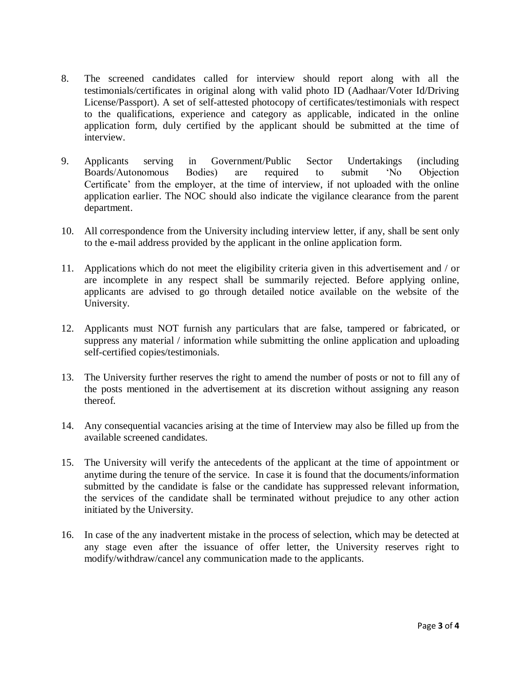- 8. The screened candidates called for interview should report along with all the testimonials/certificates in original along with valid photo ID (Aadhaar/Voter Id/Driving License/Passport). A set of self-attested photocopy of certificates/testimonials with respect to the qualifications, experience and category as applicable, indicated in the online application form, duly certified by the applicant should be submitted at the time of interview.
- 9. Applicants serving in Government/Public Sector Undertakings (including Boards/Autonomous Bodies) are required to submit 'No Objection Certificate' from the employer, at the time of interview, if not uploaded with the online application earlier. The NOC should also indicate the vigilance clearance from the parent department.
- 10. All correspondence from the University including interview letter, if any, shall be sent only to the e-mail address provided by the applicant in the online application form.
- 11. Applications which do not meet the eligibility criteria given in this advertisement and / or are incomplete in any respect shall be summarily rejected. Before applying online, applicants are advised to go through detailed notice available on the website of the University.
- 12. Applicants must NOT furnish any particulars that are false, tampered or fabricated, or suppress any material / information while submitting the online application and uploading self-certified copies/testimonials.
- 13. The University further reserves the right to amend the number of posts or not to fill any of the posts mentioned in the advertisement at its discretion without assigning any reason thereof.
- 14. Any consequential vacancies arising at the time of Interview may also be filled up from the available screened candidates.
- 15. The University will verify the antecedents of the applicant at the time of appointment or anytime during the tenure of the service. In case it is found that the documents/information submitted by the candidate is false or the candidate has suppressed relevant information, the services of the candidate shall be terminated without prejudice to any other action initiated by the University.
- 16. In case of the any inadvertent mistake in the process of selection, which may be detected at any stage even after the issuance of offer letter, the University reserves right to modify/withdraw/cancel any communication made to the applicants.